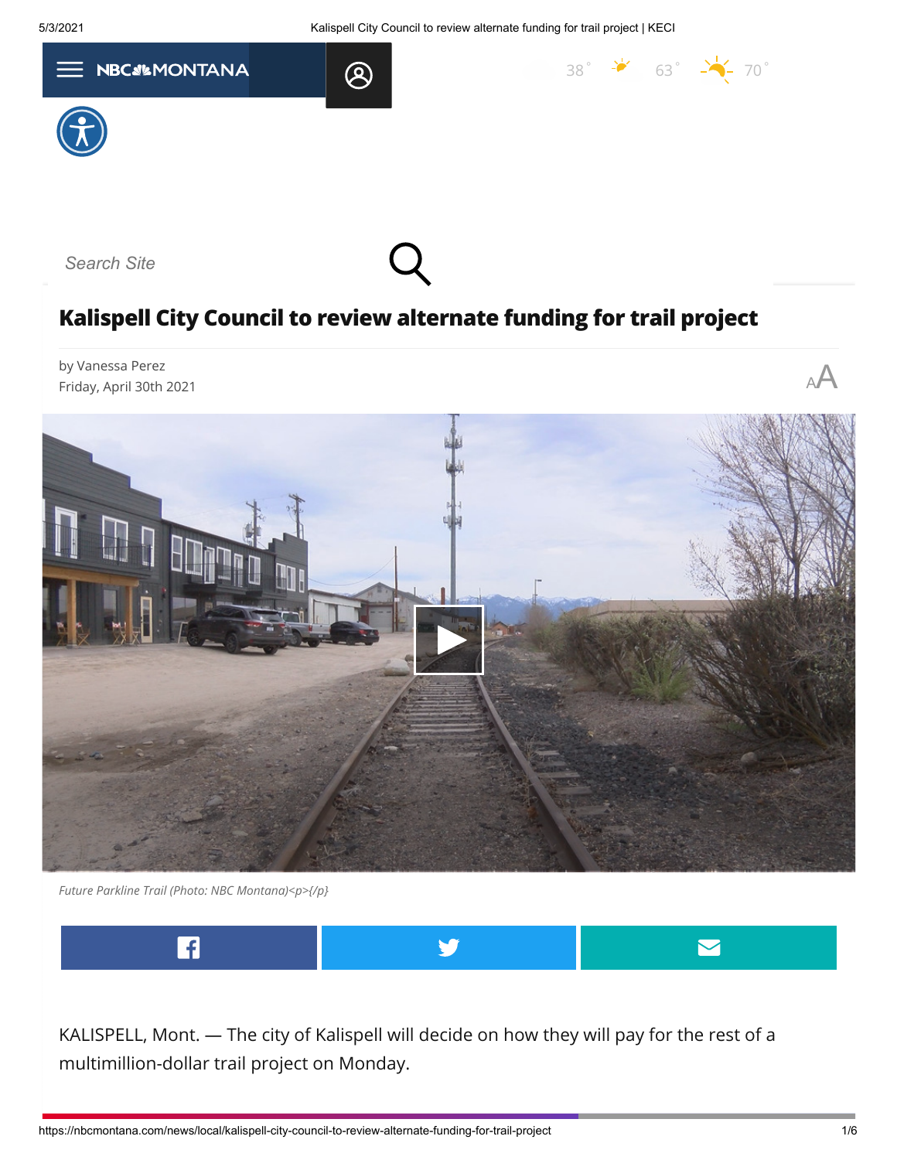5/3/2021 Kalispell City Council to review alternate funding for trail project | KECI

 $38^\circ$  $38^\circ$   $\rightarrow$  63 $^\circ$   $\rightarrow$  70 $^\circ$ 







## **Kalispell City Council to review alternate funding for trail project**

by Vanessa Perez Friday, April 30th 2021 <sup>A</sup>A



*Future Parkline Trail (Photo: NBC Montana)<p>{/p}*



KALISPELL, Mont. — The city of Kalispell will decide on how they will pay for the rest of a multimillion-dollar trail project on Monday.